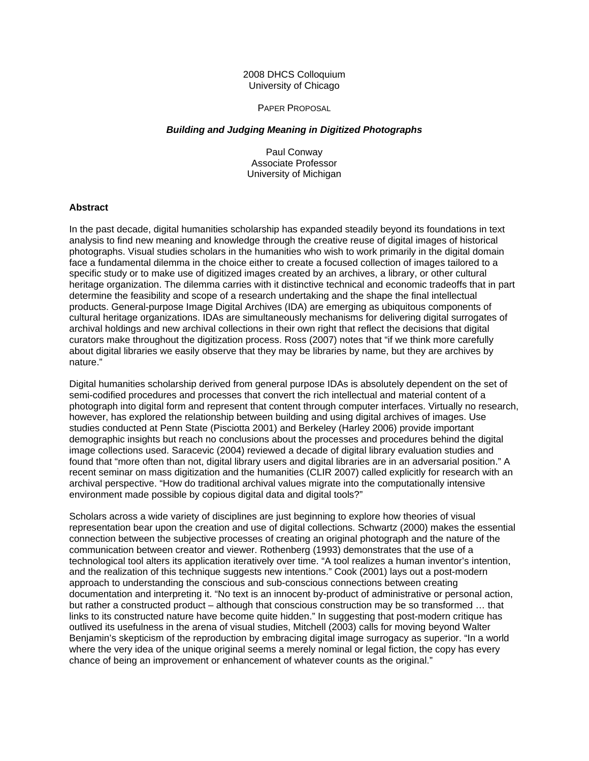## 2008 DHCS Colloquium University of Chicago

#### PAPER PROPOSAL

## *Building and Judging Meaning in Digitized Photographs*

Paul Conway Associate Professor University of Michigan

# **Abstract**

In the past decade, digital humanities scholarship has expanded steadily beyond its foundations in text analysis to find new meaning and knowledge through the creative reuse of digital images of historical photographs. Visual studies scholars in the humanities who wish to work primarily in the digital domain face a fundamental dilemma in the choice either to create a focused collection of images tailored to a specific study or to make use of digitized images created by an archives, a library, or other cultural heritage organization. The dilemma carries with it distinctive technical and economic tradeoffs that in part determine the feasibility and scope of a research undertaking and the shape the final intellectual products. General-purpose Image Digital Archives (IDA) are emerging as ubiquitous components of cultural heritage organizations. IDAs are simultaneously mechanisms for delivering digital surrogates of archival holdings and new archival collections in their own right that reflect the decisions that digital curators make throughout the digitization process. Ross (2007) notes that "if we think more carefully about digital libraries we easily observe that they may be libraries by name, but they are archives by nature."

Digital humanities scholarship derived from general purpose IDAs is absolutely dependent on the set of semi-codified procedures and processes that convert the rich intellectual and material content of a photograph into digital form and represent that content through computer interfaces. Virtually no research, however, has explored the relationship between building and using digital archives of images. Use studies conducted at Penn State (Pisciotta 2001) and Berkeley (Harley 2006) provide important demographic insights but reach no conclusions about the processes and procedures behind the digital image collections used. Saracevic (2004) reviewed a decade of digital library evaluation studies and found that "more often than not, digital library users and digital libraries are in an adversarial position." A recent seminar on mass digitization and the humanities (CLIR 2007) called explicitly for research with an archival perspective. "How do traditional archival values migrate into the computationally intensive environment made possible by copious digital data and digital tools?"

Scholars across a wide variety of disciplines are just beginning to explore how theories of visual representation bear upon the creation and use of digital collections. Schwartz (2000) makes the essential connection between the subjective processes of creating an original photograph and the nature of the communication between creator and viewer. Rothenberg (1993) demonstrates that the use of a technological tool alters its application iteratively over time. "A tool realizes a human inventor's intention, and the realization of this technique suggests new intentions." Cook (2001) lays out a post-modern approach to understanding the conscious and sub-conscious connections between creating documentation and interpreting it. "No text is an innocent by-product of administrative or personal action, but rather a constructed product – although that conscious construction may be so transformed … that links to its constructed nature have become quite hidden." In suggesting that post-modern critique has outlived its usefulness in the arena of visual studies, Mitchell (2003) calls for moving beyond Walter Benjamin's skepticism of the reproduction by embracing digital image surrogacy as superior. "In a world where the very idea of the unique original seems a merely nominal or legal fiction, the copy has every chance of being an improvement or enhancement of whatever counts as the original."